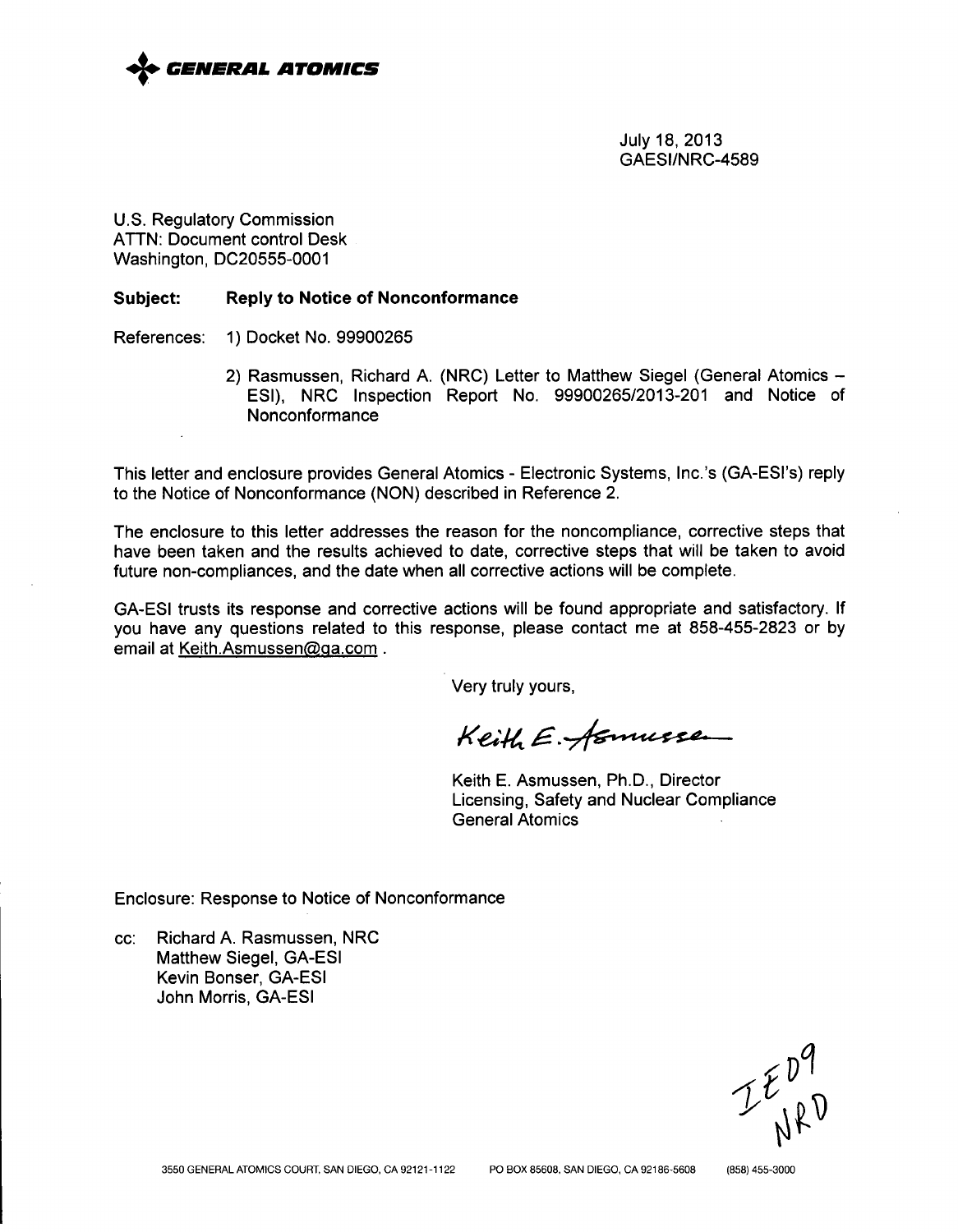

July 18, 2013 GAESI/NRC-4589

U.S. Regulatory Commission ATTN: Document control Desk Washington, DC20555-0001

### Subject: Reply to Notice of Nonconformance

References: 1) Docket No. 99900265

2) Rasmussen, Richard A. (NRC) Letter to Matthew Siegel (General Atomics -ESI), NRC Inspection Report No. 99900265/2013-201 and Notice of Nonconformance

This letter and enclosure provides General Atomics - Electronic Systems, Inc.'s (GA-ESI's) reply to the Notice of Nonconformance (NON) described in Reference 2.

The enclosure to this letter addresses the reason for the noncompliance, corrective steps that have been taken and the results achieved to date, corrective steps that will be taken to avoid future non-compliances, and the date when all corrective actions will be complete.

GA-ESI trusts its response and corrective actions will be found appropriate and satisfactory. If you have any questions related to this response, please contact me at 858-455-2823 or by email at Keith.Asmussen@ga.com.

Very truly yours,

Keith E. fernusse

Keith E. Asmussen, Ph.D., Director Licensing, Safety and Nuclear Compliance General Atomics

Enclosure: Response to Notice of Nonconformance

cc: Richard A. Rasmussen, NRC Matthew Siegel, GA-ESI Kevin Bonser, GA-ESI John Morris, GA-ESI

 $I$  $E_{N}^{D}P$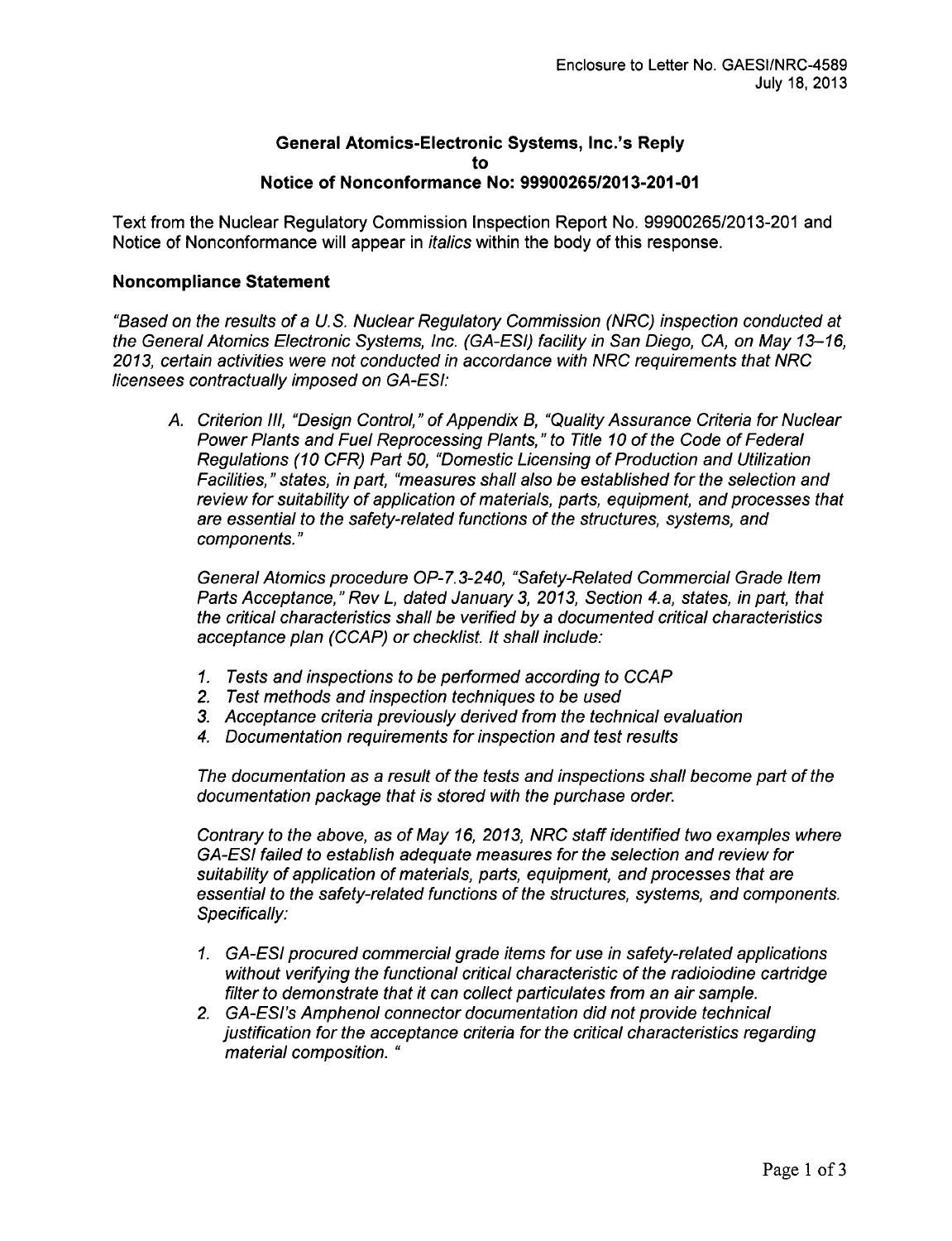### General Atomics-Electronic Systems, Inc.'s Reply to Notice of Nonconformance No: **99900265/2013-201-01**

Text from the Nuclear Regulatory Commission Inspection Report No. 99900265/2013-201 and Notice of Nonconformance will appear in *italics* within the body of this response.

### Noncompliance Statement

*"Based on the results of a U.S. Nuclear Regulatory Commission (NRC) inspection conducted at the General Atomics Electronic Systems, Inc. (GA-ESI) facility in San Diego, CA, on May 13-16, 2013, certain activities were not conducted in accordance with NRC requirements that NRC licensees contractually imposed on GA-ESI:*

*A. Criterion Ill, "Design Control," of Appendix B, "Quality Assurance Criteria for Nuclear Power Plants and Fuel Reprocessing Plants," to Title 10 of the Code of Federal Regulations (10 CFR) Part 50, "Domestic Licensing of Production and Utilization Facilities,* " *states, in part, "measures shall also be established for the selection and review for suitability of application of materials, parts, equipment, and processes that are essential to the safety-related functions of the structures, systems, and components."*

*General Atomics procedure* OP-7.3-240, *"Safety-Related Commercial Grade Item Parts Acceptance," Rev L, dated January 3, 2013, Section 4.a, states, in part, that the critical characteristics shall be verified by a documented critical characteristics acceptance plan (CCAP) or checklist. It shall include:*

- *1. Tests and inspections to be performed according to CCAP*
- *2. Test methods and inspection techniques to be used*
- *3. Acceptance criteria previously derived from the technical evaluation*
- *4. Documentation requirements for inspection and test results*

*The documentation as a result of the tests and inspections shall become part of the documentation package that is stored with the purchase order.*

*Contrary to the above, as of May 16, 2013, NRC staff identified two examples where GA-ESI failed to establish adequate measures for the selection and review for suitability of application of materials, parts, equipment, and processes that are essential to the safety-related functions of the structures, systems, and components. Specifically:*

- 1. *GA-ESI procured commercial grade items for use in safety-related applications without verifying the functional critical characteristic of the radioiodine cartridge filter to demonstrate that it can collect particulates from an air sample.*
- *2. GA-ESI's Amphenol connector documentation did not provide technical justification for the acceptance criteria for the critical characteristics regarding material composition. "*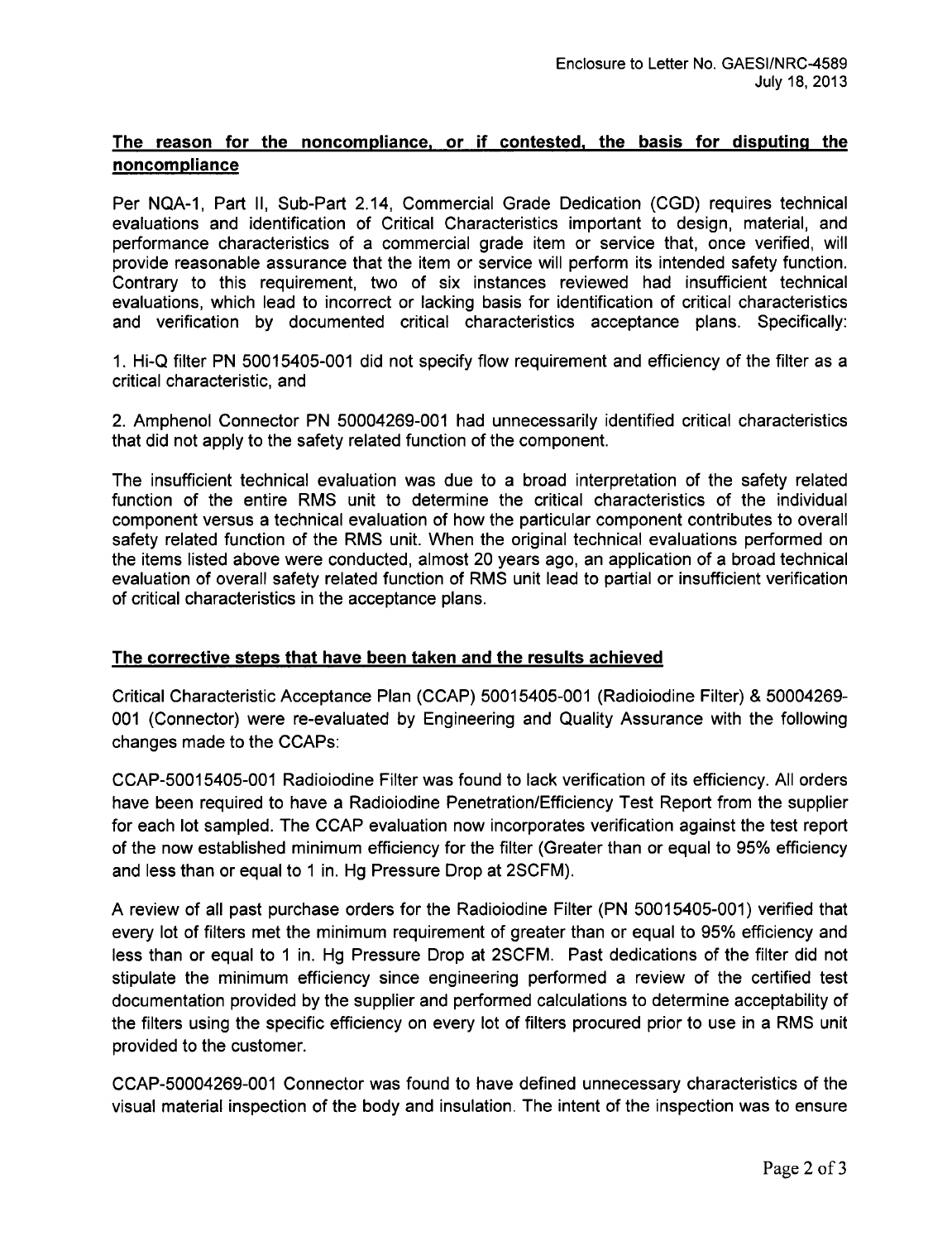# The reason for the noncompliance, or if contested, the basis for disputing the noncompliance

Per NQA-1, Part II, Sub-Part 2.14, Commercial Grade Dedication (CGD) requires technical evaluations and identification of Critical Characteristics important to design, material, and performance characteristics of a commercial grade item or service that, once verified, will provide reasonable assurance that the item or service will perform its intended safety function. Contrary to this requirement, two of six instances reviewed had insufficient technical evaluations, which lead to incorrect or lacking basis for identification of critical characteristics and verification by documented critical characteristics acceptance plans. Specifically:

1. Hi-Q filter PN 50015405-001 did not specify flow requirement and efficiency of the filter as a critical characteristic, and

2. Amphenol Connector PN 50004269-001 had unnecessarily identified critical characteristics that did not apply to the safety related function of the component.

The insufficient technical evaluation was due to a broad interpretation of the safety related function of the entire RMS unit to determine the critical characteristics of the individual component versus a technical evaluation of how the particular component contributes to overall safety related function of the RMS unit. When the original technical evaluations performed on the items listed above were conducted, almost 20 years ago, an application of a broad technical evaluation of overall safety related function of RMS unit lead to partial or insufficient verification of critical characteristics in the acceptance plans.

## The corrective steps that have been taken and the results achieved

Critical Characteristic Acceptance Plan (CCAP) 50015405-001 (Radioiodine Filter) & 50004269- 001 (Connector) were re-evaluated by Engineering and Quality Assurance with the following changes made to the CCAPs:

CCAP-50015405-001 Radioiodine Filter was found to lack verification of its efficiency. All orders have been required to have a Radioiodine Penetration/Efficiency Test Report from the supplier for each lot sampled. The CCAP evaluation now incorporates verification against the test report of the now established minimum efficiency for the filter (Greater than or equal to 95% efficiency and less than or equal to 1 in. Hg Pressure Drop at 2SCFM).

A review of all past purchase orders for the Radioiodine Filter (PN 50015405-001) verified that every lot of filters met the minimum requirement of greater than or equal to 95% efficiency and less than or equal to **1** in. Hg Pressure Drop at 2SCFM. Past dedications of the filter did not stipulate the minimum efficiency since engineering performed a review of the certified test documentation provided by the supplier and performed calculations to determine acceptability of the filters using the specific efficiency on every lot of filters procured prior to use in a RMS unit provided to the customer.

CCAP-50004269-001 Connector was found to have defined unnecessary characteristics of the visual material inspection of the body and insulation. The intent of the inspection was to ensure